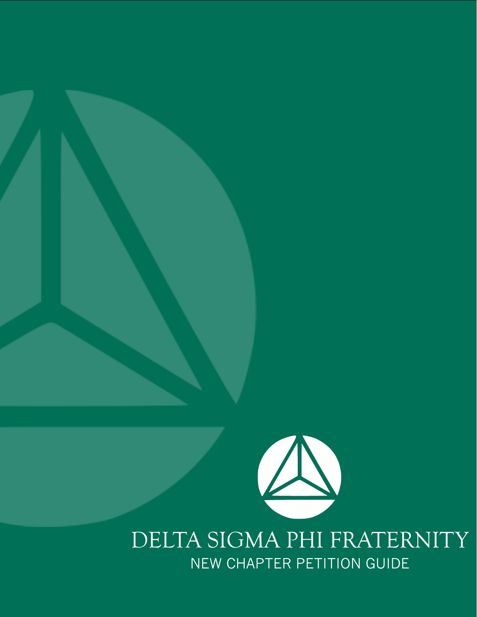

## DELTA SIGMA PHI FRATERNITY NEW CHAPTER PETITION GUIDE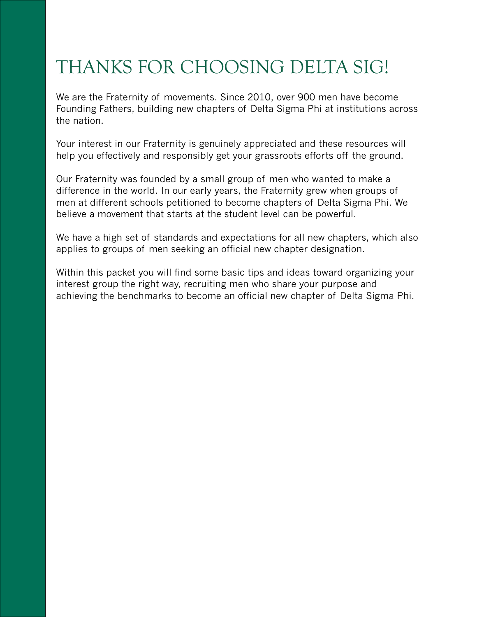## THANKS FOR CHOOSING DELTA SIG!

We are the Fraternity of movements. Since 2010, over 900 men have become Founding Fathers, building new chapters of Delta Sigma Phi at institutions across the nation.

Your interest in our Fraternity is genuinely appreciated and these resources will help you effectively and responsibly get your grassroots efforts off the ground.

Our Fraternity was founded by a small group of men who wanted to make a difference in the world. In our early years, the Fraternity grew when groups of men at different schools petitioned to become chapters of Delta Sigma Phi. We believe a movement that starts at the student level can be powerful.

We have a high set of standards and expectations for all new chapters, which also applies to groups of men seeking an official new chapter designation.

Within this packet you will find some basic tips and ideas toward organizing your interest group the right way, recruiting men who share your purpose and achieving the benchmarks to become an official new chapter of Delta Sigma Phi.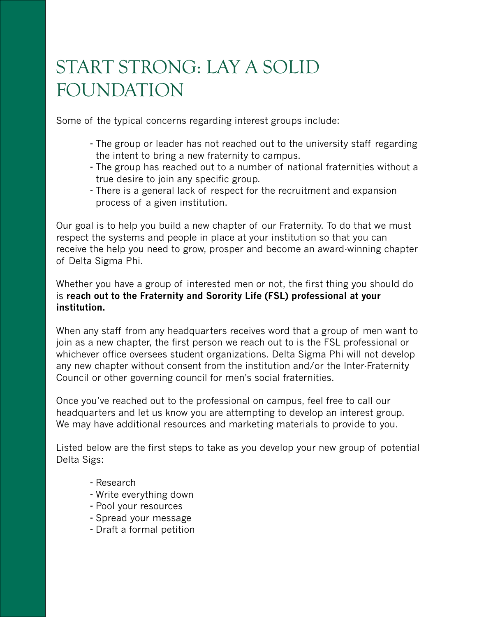## START STRONG: LAY A SOLID FOUNDATION

Some of the typical concerns regarding interest groups include:

- The group or leader has not reached out to the university staff regarding the intent to bring a new fraternity to campus.
- The group has reached out to a number of national fraternities without a true desire to join any specific group.
- There is a general lack of respect for the recruitment and expansion process of a given institution.

Our goal is to help you build a new chapter of our Fraternity. To do that we must respect the systems and people in place at your institution so that you can receive the help you need to grow, prosper and become an award-winning chapter of Delta Sigma Phi.

Whether you have a group of interested men or not, the first thing you should do is **reach out to the Fraternity and Sorority Life (FSL) professional at your institution.**

When any staff from any headquarters receives word that a group of men want to join as a new chapter, the first person we reach out to is the FSL professional or whichever office oversees student organizations. Delta Sigma Phi will not develop any new chapter without consent from the institution and/or the Inter-Fraternity Council or other governing council for men's social fraternities.

Once you've reached out to the professional on campus, feel free to call our headquarters and let us know you are attempting to develop an interest group. We may have additional resources and marketing materials to provide to you.

Listed below are the first steps to take as you develop your new group of potential Delta Sigs:

- Research
- Write everything down
- Pool your resources
- Spread your message
- Draft a formal petition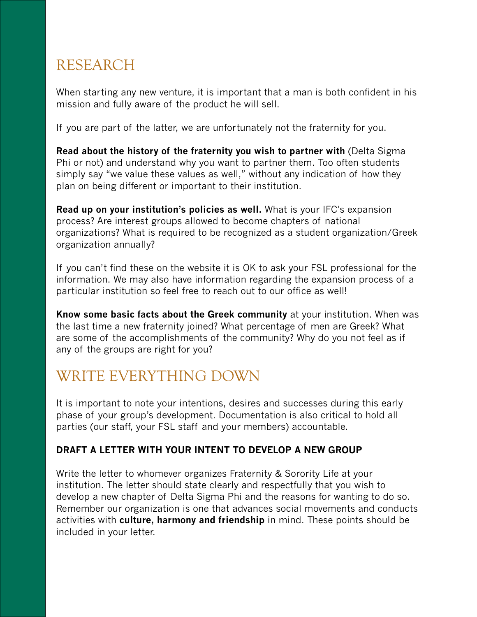## RESEARCH

When starting any new venture, it is important that a man is both confident in his mission and fully aware of the product he will sell.

If you are part of the latter, we are unfortunately not the fraternity for you.

**Read about the history of the fraternity you wish to partner with** (Delta Sigma Phi or not) and understand why you want to partner them. Too often students simply say "we value these values as well," without any indication of how they plan on being different or important to their institution.

**Read up on your institution's policies as well.** What is your IFC's expansion process? Are interest groups allowed to become chapters of national organizations? What is required to be recognized as a student organization/Greek organization annually?

If you can't find these on the website it is OK to ask your FSL professional for the information. We may also have information regarding the expansion process of a particular institution so feel free to reach out to our office as well!

**Know some basic facts about the Greek community** at your institution. When was the last time a new fraternity joined? What percentage of men are Greek? What are some of the accomplishments of the community? Why do you not feel as if any of the groups are right for you?

## WRITE EVERYTHING DOWN

It is important to note your intentions, desires and successes during this early phase of your group's development. Documentation is also critical to hold all parties (our staff, your FSL staff and your members) accountable.

### **DRAFT A LETTER WITH YOUR INTENT TO DEVELOP A NEW GROUP**

Write the letter to whomever organizes Fraternity & Sorority Life at your institution. The letter should state clearly and respectfully that you wish to develop a new chapter of Delta Sigma Phi and the reasons for wanting to do so. Remember our organization is one that advances social movements and conducts activities with **culture, harmony and friendship** in mind. These points should be included in your letter.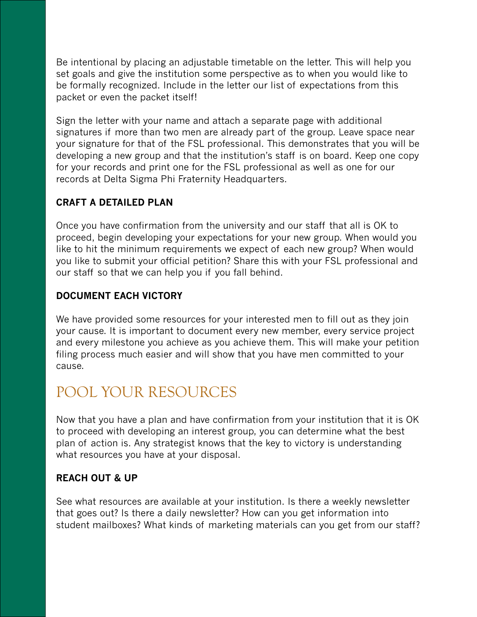Be intentional by placing an adjustable timetable on the letter. This will help you set goals and give the institution some perspective as to when you would like to be formally recognized. Include in the letter our list of expectations from this packet or even the packet itself!

Sign the letter with your name and attach a separate page with additional signatures if more than two men are already part of the group. Leave space near your signature for that of the FSL professional. This demonstrates that you will be developing a new group and that the institution's staff is on board. Keep one copy for your records and print one for the FSL professional as well as one for our records at Delta Sigma Phi Fraternity Headquarters.

### **CRAFT A DETAILED PLAN**

Once you have confirmation from the university and our staff that all is OK to proceed, begin developing your expectations for your new group. When would you like to hit the minimum requirements we expect of each new group? When would you like to submit your official petition? Share this with your FSL professional and our staff so that we can help you if you fall behind.

#### **DOCUMENT EACH VICTORY**

We have provided some resources for your interested men to fill out as they join your cause. It is important to document every new member, every service project and every milestone you achieve as you achieve them. This will make your petition filing process much easier and will show that you have men committed to your cause.

## POOL YOUR RESOURCES

Now that you have a plan and have confirmation from your institution that it is OK to proceed with developing an interest group, you can determine what the best plan of action is. Any strategist knows that the key to victory is understanding what resources you have at your disposal.

#### **REACH OUT & UP**

See what resources are available at your institution. Is there a weekly newsletter that goes out? Is there a daily newsletter? How can you get information into student mailboxes? What kinds of marketing materials can you get from our staff?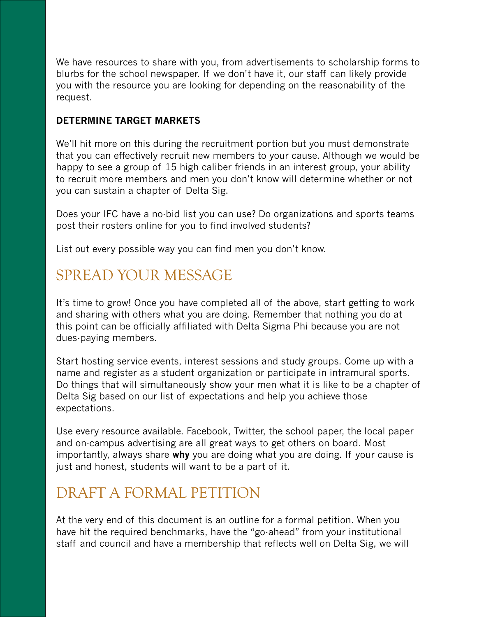We have resources to share with you, from advertisements to scholarship forms to blurbs for the school newspaper. If we don't have it, our staff can likely provide you with the resource you are looking for depending on the reasonability of the request.

#### **DETERMINE TARGET MARKETS**

We'll hit more on this during the recruitment portion but you must demonstrate that you can effectively recruit new members to your cause. Although we would be happy to see a group of 15 high caliber friends in an interest group, your ability to recruit more members and men you don't know will determine whether or not you can sustain a chapter of Delta Sig.

Does your IFC have a no-bid list you can use? Do organizations and sports teams post their rosters online for you to find involved students?

List out every possible way you can find men you don't know.

## SPREAD YOUR MESSAGE

It's time to grow! Once you have completed all of the above, start getting to work and sharing with others what you are doing. Remember that nothing you do at this point can be officially affiliated with Delta Sigma Phi because you are not dues-paying members.

Start hosting service events, interest sessions and study groups. Come up with a name and register as a student organization or participate in intramural sports. Do things that will simultaneously show your men what it is like to be a chapter of Delta Sig based on our list of expectations and help you achieve those expectations.

Use every resource available. Facebook, Twitter, the school paper, the local paper and on-campus advertising are all great ways to get others on board. Most importantly, always share **why** you are doing what you are doing. If your cause is just and honest, students will want to be a part of it.

## DRAFT A FORMAL PETITION

At the very end of this document is an outline for a formal petition. When you have hit the required benchmarks, have the "go-ahead" from your institutional staff and council and have a membership that reflects well on Delta Sig, we will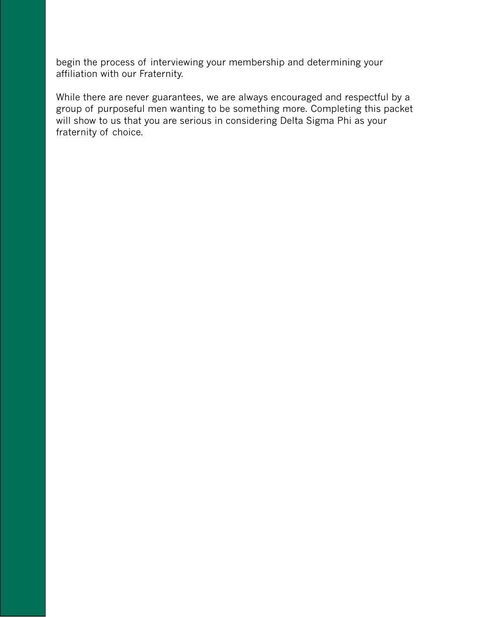begin the process of interviewing your membership and determining your affiliation with our Fraternity.

While there are never guarantees, we are always encouraged and respectful by a group of purposeful men wanting to be something more. Completing this packet will show to us that you are serious in considering Delta Sigma Phi as your fraternity of choice.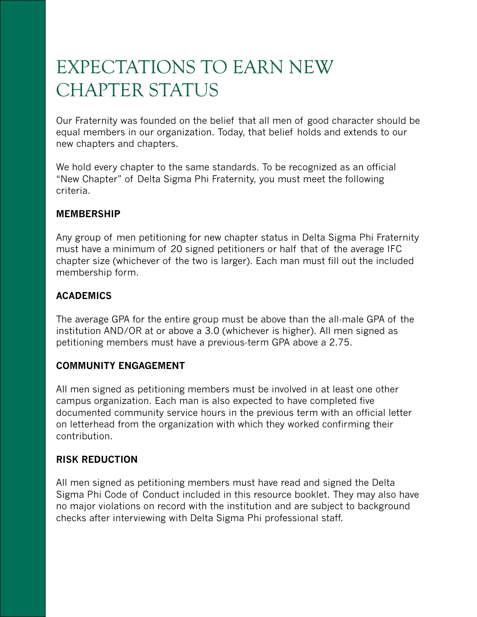## EXPECTATIONS TO EARN NEW CHAPTER STATUS

Our Fraternity was founded on the belief that all men of good character should be equal members in our organization. Today, that belief holds and extends to our new chapters and chapters.

We hold every chapter to the same standards. To be recognized as an official "New Chapter" of Delta Sigma Phi Fraternity, you must meet the following criteria.

#### **MEMBERSHIP**

Any group of men petitioning for new chapter status in Delta Sigma Phi Fraternity must have a minimum of 20 signed petitioners or half that of the average IFC chapter size (whichever of the two is larger). Each man must fill out the included membership form.

#### **ACADEMICS**

The average GPA for the entire group must be above than the all-male GPA of the institution AND/OR at or above a 3.0 (whichever is higher). All men signed as petitioning members must have a previous-term GPA above a 2.75.

#### **COMMUNITY ENGAGEMENT**

All men signed as petitioning members must be involved in at least one other campus organization. Each man is also expected to have completed five documented community service hours in the previous term with an official letter on letterhead from the organization with which they worked confirming their contribution.

#### **RISK REDUCTION**

All men signed as petitioning members must have read and signed the Delta Sigma Phi Code of Conduct included in this resource booklet. They may also have no major violations on record with the institution and are subject to background checks after interviewing with Delta Sigma Phi professional staff.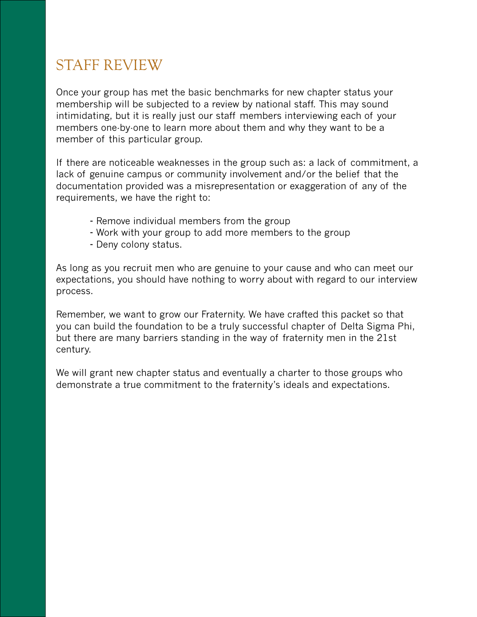## STAFF REVIEW

Once your group has met the basic benchmarks for new chapter status your membership will be subjected to a review by national staff. This may sound intimidating, but it is really just our staff members interviewing each of your members one-by-one to learn more about them and why they want to be a member of this particular group.

If there are noticeable weaknesses in the group such as: a lack of commitment, a lack of genuine campus or community involvement and/or the belief that the documentation provided was a misrepresentation or exaggeration of any of the requirements, we have the right to:

- Remove individual members from the group
- Work with your group to add more members to the group
- Deny colony status.

As long as you recruit men who are genuine to your cause and who can meet our expectations, you should have nothing to worry about with regard to our interview process.

Remember, we want to grow our Fraternity. We have crafted this packet so that you can build the foundation to be a truly successful chapter of Delta Sigma Phi, but there are many barriers standing in the way of fraternity men in the 21st century.

We will grant new chapter status and eventually a charter to those groups who demonstrate a true commitment to the fraternity's ideals and expectations.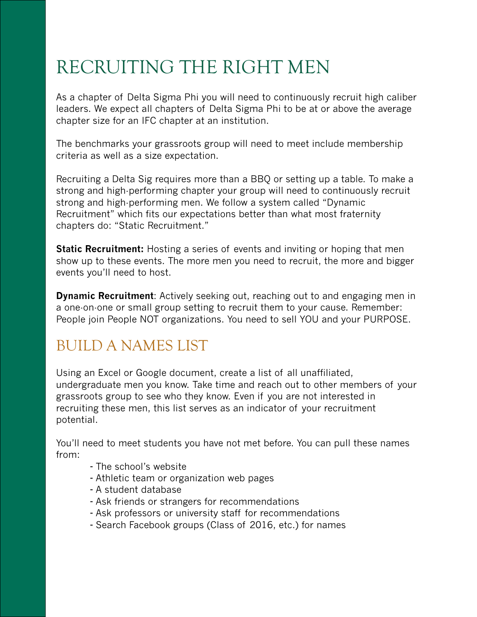## RECRUITING THE RIGHT MEN

As a chapter of Delta Sigma Phi you will need to continuously recruit high caliber leaders. We expect all chapters of Delta Sigma Phi to be at or above the average chapter size for an IFC chapter at an institution.

The benchmarks your grassroots group will need to meet include membership criteria as well as a size expectation.

Recruiting a Delta Sig requires more than a BBQ or setting up a table. To make a strong and high-performing chapter your group will need to continuously recruit strong and high-performing men. We follow a system called "Dynamic Recruitment" which fits our expectations better than what most fraternity chapters do: "Static Recruitment."

**Static Recruitment:** Hosting a series of events and inviting or hoping that men show up to these events. The more men you need to recruit, the more and bigger events you'll need to host.

**Dynamic Recruitment**: Actively seeking out, reaching out to and engaging men in a one-on-one or small group setting to recruit them to your cause. Remember: People join People NOT organizations. You need to sell YOU and your PURPOSE.

## BUILD A NAMES LIST

Using an Excel or Google document, create a list of all unaffiliated, undergraduate men you know. Take time and reach out to other members of your grassroots group to see who they know. Even if you are not interested in recruiting these men, this list serves as an indicator of your recruitment potential.

You'll need to meet students you have not met before. You can pull these names from:

- The school's website
- Athletic team or organization web pages
- A student database
- Ask friends or strangers for recommendations
- Ask professors or university staff for recommendations
- Search Facebook groups (Class of 2016, etc.) for names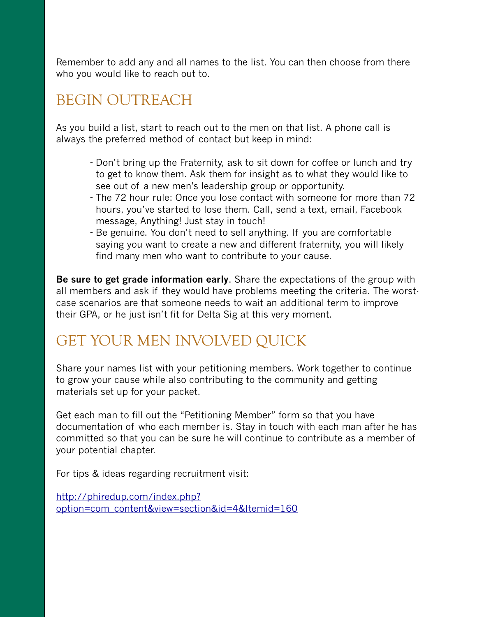Remember to add any and all names to the list. You can then choose from there who you would like to reach out to.

### BEGIN OUTREACH

As you build a list, start to reach out to the men on that list. A phone call is always the preferred method of contact but keep in mind:

- Don't bring up the Fraternity, ask to sit down for coffee or lunch and try to get to know them. Ask them for insight as to what they would like to see out of a new men's leadership group or opportunity.
- The 72 hour rule: Once you lose contact with someone for more than 72 hours, you've started to lose them. Call, send a text, email, Facebook message, Anything! Just stay in touch!
- Be genuine. You don't need to sell anything. If you are comfortable saying you want to create a new and different fraternity, you will likely find many men who want to contribute to your cause.

**Be sure to get grade information early**. Share the expectations of the group with all members and ask if they would have problems meeting the criteria. The worstcase scenarios are that someone needs to wait an additional term to improve their GPA, or he just isn't fit for Delta Sig at this very moment.

## GET YOUR MEN INVOLVED QUICK

Share your names list with your petitioning members. Work together to continue to grow your cause while also contributing to the community and getting materials set up for your packet.

Get each man to fill out the "Petitioning Member" form so that you have documentation of who each member is. Stay in touch with each man after he has committed so that you can be sure he will continue to contribute as a member of your potential chapter.

For tips & ideas regarding recruitment visit:

[http://phiredup.com/index.php?](http://phiredup.com/index.php?option=com_content&view=section&id=4&Itemid=160) [option=com\\_content&view=section&id=4&Itemid=160](http://phiredup.com/index.php?option=com_content&view=section&id=4&Itemid=160)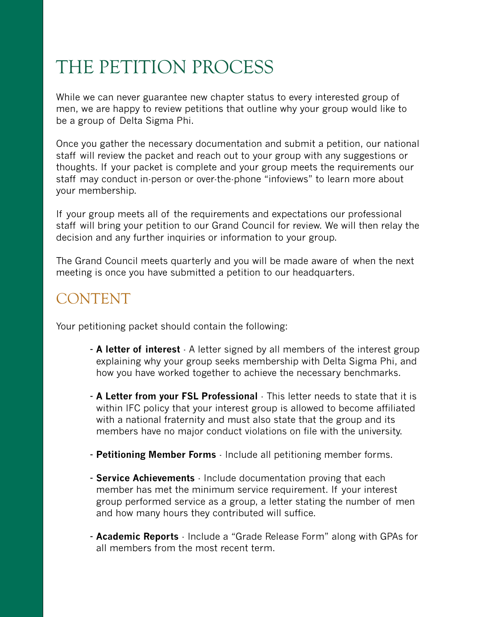# THE PETITION PROCESS

While we can never guarantee new chapter status to every interested group of men, we are happy to review petitions that outline why your group would like to be a group of Delta Sigma Phi.

Once you gather the necessary documentation and submit a petition, our national staff will review the packet and reach out to your group with any suggestions or thoughts. If your packet is complete and your group meets the requirements our staff may conduct in-person or over-the-phone "infoviews" to learn more about your membership.

If your group meets all of the requirements and expectations our professional staff will bring your petition to our Grand Council for review. We will then relay the decision and any further inquiries or information to your group.

The Grand Council meets quarterly and you will be made aware of when the next meeting is once you have submitted a petition to our headquarters.

### CONTENT

Your petitioning packet should contain the following:

- **A letter of interest** A letter signed by all members of the interest group explaining why your group seeks membership with Delta Sigma Phi, and how you have worked together to achieve the necessary benchmarks.
- **A Letter from your FSL Professional** This letter needs to state that it is within IFC policy that your interest group is allowed to become affiliated with a national fraternity and must also state that the group and its members have no major conduct violations on file with the university.
- **Petitioning Member Forms** Include all petitioning member forms.
- **Service Achievements** Include documentation proving that each member has met the minimum service requirement. If your interest group performed service as a group, a letter stating the number of men and how many hours they contributed will suffice.
- **Academic Reports** Include a "Grade Release Form" along with GPAs for all members from the most recent term.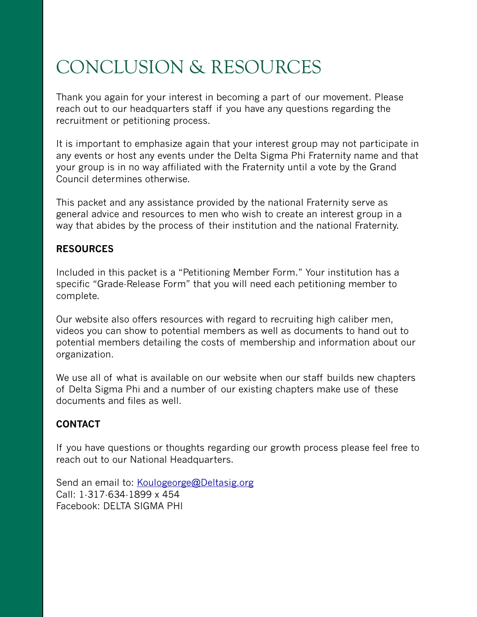# CONCLUSION & RESOURCES

Thank you again for your interest in becoming a part of our movement. Please reach out to our headquarters staff if you have any questions regarding the recruitment or petitioning process.

It is important to emphasize again that your interest group may not participate in any events or host any events under the Delta Sigma Phi Fraternity name and that your group is in no way affiliated with the Fraternity until a vote by the Grand Council determines otherwise.

This packet and any assistance provided by the national Fraternity serve as general advice and resources to men who wish to create an interest group in a way that abides by the process of their institution and the national Fraternity.

#### **RESOURCES**

Included in this packet is a "Petitioning Member Form." Your institution has a specific "Grade-Release Form" that you will need each petitioning member to complete.

Our website also offers resources with regard to recruiting high caliber men, videos you can show to potential members as well as documents to hand out to potential members detailing the costs of membership and information about our organization.

We use all of what is available on our website when our staff builds new chapters of Delta Sigma Phi and a number of our existing chapters make use of these documents and files as well.

#### **CONTACT**

If you have questions or thoughts regarding our growth process please feel free to reach out to our National Headquarters.

Send an email to: [Koulogeorge@Deltasig.org](mailto:Start@Deltasig.org) Call: 1-317-634-1899 x 454 Facebook: DELTA SIGMA PHI